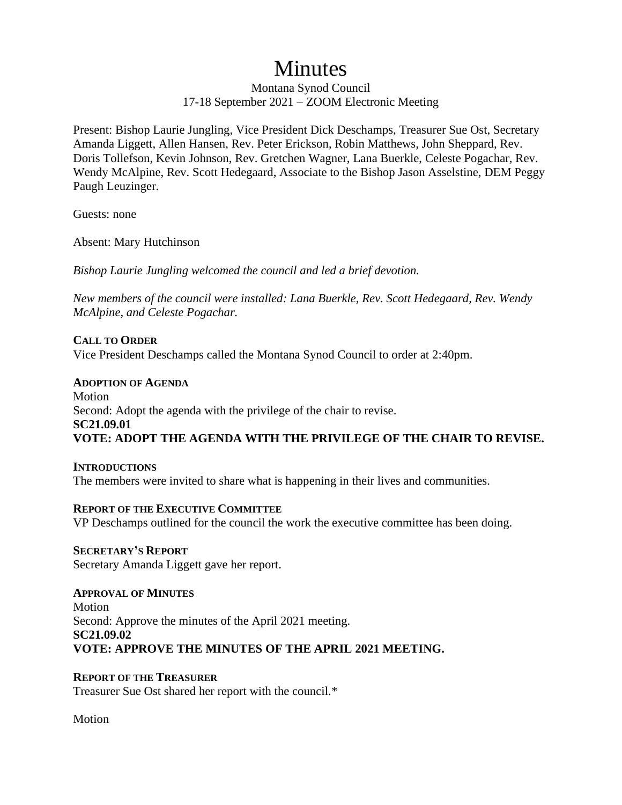# Minutes

Montana Synod Council 17-18 September 2021 – ZOOM Electronic Meeting

Present: Bishop Laurie Jungling, Vice President Dick Deschamps, Treasurer Sue Ost, Secretary Amanda Liggett, Allen Hansen, Rev. Peter Erickson, Robin Matthews, John Sheppard, Rev. Doris Tollefson, Kevin Johnson, Rev. Gretchen Wagner, Lana Buerkle, Celeste Pogachar, Rev. Wendy McAlpine, Rev. Scott Hedegaard, Associate to the Bishop Jason Asselstine, DEM Peggy Paugh Leuzinger.

Guests: none

Absent: Mary Hutchinson

*Bishop Laurie Jungling welcomed the council and led a brief devotion.*

*New members of the council were installed: Lana Buerkle, Rev. Scott Hedegaard, Rev. Wendy McAlpine, and Celeste Pogachar.*

#### **CALL TO ORDER**

Vice President Deschamps called the Montana Synod Council to order at 2:40pm.

#### **ADOPTION OF AGENDA**

Motion Second: Adopt the agenda with the privilege of the chair to revise. **SC21.09.01 VOTE: ADOPT THE AGENDA WITH THE PRIVILEGE OF THE CHAIR TO REVISE.**

**INTRODUCTIONS** The members were invited to share what is happening in their lives and communities.

#### **REPORT OF THE EXECUTIVE COMMITTEE**

VP Deschamps outlined for the council the work the executive committee has been doing.

**SECRETARY'S REPORT** Secretary Amanda Liggett gave her report.

**APPROVAL OF MINUTES Motion** Second: Approve the minutes of the April 2021 meeting. **SC21.09.02 VOTE: APPROVE THE MINUTES OF THE APRIL 2021 MEETING.**

#### **REPORT OF THE TREASURER**

Treasurer Sue Ost shared her report with the council.\*

Motion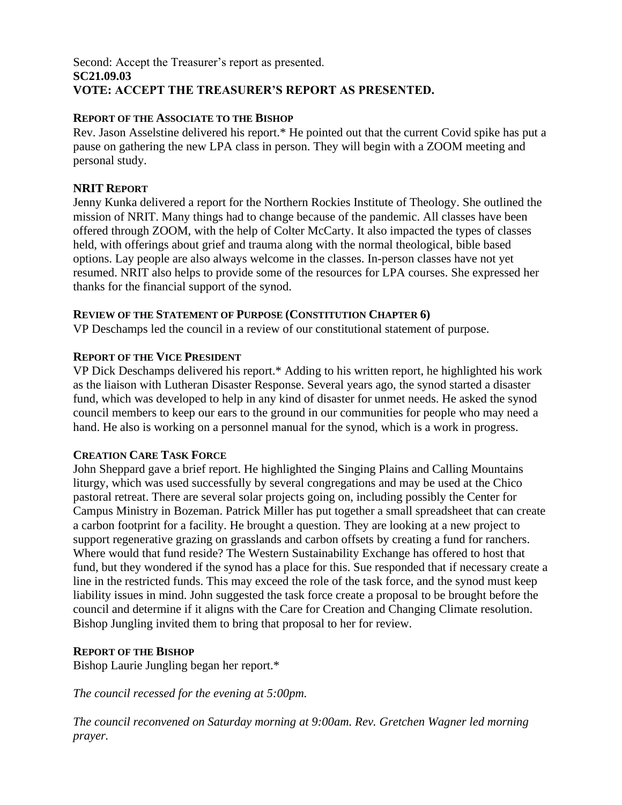#### Second: Accept the Treasurer's report as presented. **SC21.09.03 VOTE: ACCEPT THE TREASURER'S REPORT AS PRESENTED.**

#### **REPORT OF THE ASSOCIATE TO THE BISHOP**

Rev. Jason Asselstine delivered his report.\* He pointed out that the current Covid spike has put a pause on gathering the new LPA class in person. They will begin with a ZOOM meeting and personal study.

## **NRIT REPORT**

Jenny Kunka delivered a report for the Northern Rockies Institute of Theology. She outlined the mission of NRIT. Many things had to change because of the pandemic. All classes have been offered through ZOOM, with the help of Colter McCarty. It also impacted the types of classes held, with offerings about grief and trauma along with the normal theological, bible based options. Lay people are also always welcome in the classes. In-person classes have not yet resumed. NRIT also helps to provide some of the resources for LPA courses. She expressed her thanks for the financial support of the synod.

#### **REVIEW OF THE STATEMENT OF PURPOSE (CONSTITUTION CHAPTER 6)**

VP Deschamps led the council in a review of our constitutional statement of purpose.

#### **REPORT OF THE VICE PRESIDENT**

VP Dick Deschamps delivered his report.\* Adding to his written report, he highlighted his work as the liaison with Lutheran Disaster Response. Several years ago, the synod started a disaster fund, which was developed to help in any kind of disaster for unmet needs. He asked the synod council members to keep our ears to the ground in our communities for people who may need a hand. He also is working on a personnel manual for the synod, which is a work in progress.

#### **CREATION CARE TASK FORCE**

John Sheppard gave a brief report. He highlighted the Singing Plains and Calling Mountains liturgy, which was used successfully by several congregations and may be used at the Chico pastoral retreat. There are several solar projects going on, including possibly the Center for Campus Ministry in Bozeman. Patrick Miller has put together a small spreadsheet that can create a carbon footprint for a facility. He brought a question. They are looking at a new project to support regenerative grazing on grasslands and carbon offsets by creating a fund for ranchers. Where would that fund reside? The Western Sustainability Exchange has offered to host that fund, but they wondered if the synod has a place for this. Sue responded that if necessary create a line in the restricted funds. This may exceed the role of the task force, and the synod must keep liability issues in mind. John suggested the task force create a proposal to be brought before the council and determine if it aligns with the Care for Creation and Changing Climate resolution. Bishop Jungling invited them to bring that proposal to her for review.

# **REPORT OF THE BISHOP**

Bishop Laurie Jungling began her report.\*

*The council recessed for the evening at 5:00pm.*

*The council reconvened on Saturday morning at 9:00am. Rev. Gretchen Wagner led morning prayer.*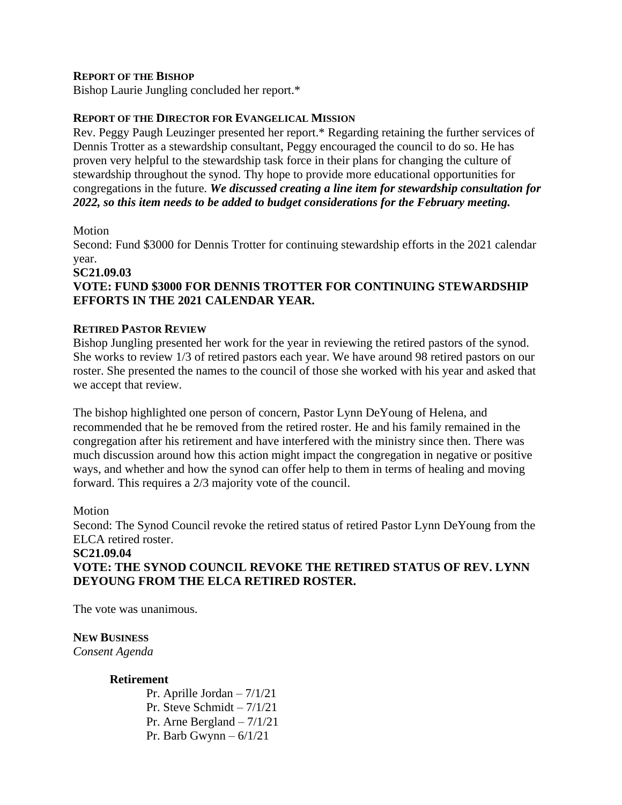#### **REPORT OF THE BISHOP**

Bishop Laurie Jungling concluded her report.\*

#### **REPORT OF THE DIRECTOR FOR EVANGELICAL MISSION**

Rev. Peggy Paugh Leuzinger presented her report.\* Regarding retaining the further services of Dennis Trotter as a stewardship consultant, Peggy encouraged the council to do so. He has proven very helpful to the stewardship task force in their plans for changing the culture of stewardship throughout the synod. Thy hope to provide more educational opportunities for congregations in the future. *We discussed creating a line item for stewardship consultation for 2022, so this item needs to be added to budget considerations for the February meeting.*

#### Motion

Second: Fund \$3000 for Dennis Trotter for continuing stewardship efforts in the 2021 calendar year.

#### **SC21.09.03 VOTE: FUND \$3000 FOR DENNIS TROTTER FOR CONTINUING STEWARDSHIP EFFORTS IN THE 2021 CALENDAR YEAR.**

#### **RETIRED PASTOR REVIEW**

Bishop Jungling presented her work for the year in reviewing the retired pastors of the synod. She works to review 1/3 of retired pastors each year. We have around 98 retired pastors on our roster. She presented the names to the council of those she worked with his year and asked that we accept that review.

The bishop highlighted one person of concern, Pastor Lynn DeYoung of Helena, and recommended that he be removed from the retired roster. He and his family remained in the congregation after his retirement and have interfered with the ministry since then. There was much discussion around how this action might impact the congregation in negative or positive ways, and whether and how the synod can offer help to them in terms of healing and moving forward. This requires a 2/3 majority vote of the council.

#### Motion

Second: The Synod Council revoke the retired status of retired Pastor Lynn DeYoung from the ELCA retired roster.

# **SC21.09.04 VOTE: THE SYNOD COUNCIL REVOKE THE RETIRED STATUS OF REV. LYNN DEYOUNG FROM THE ELCA RETIRED ROSTER.**

The vote was unanimous.

#### **NEW BUSINESS**

*Consent Agenda*

#### **Retirement**

Pr. Aprille Jordan – 7/1/21 Pr. Steve Schmidt – 7/1/21 Pr. Arne Bergland – 7/1/21 Pr. Barb Gwynn – 6/1/21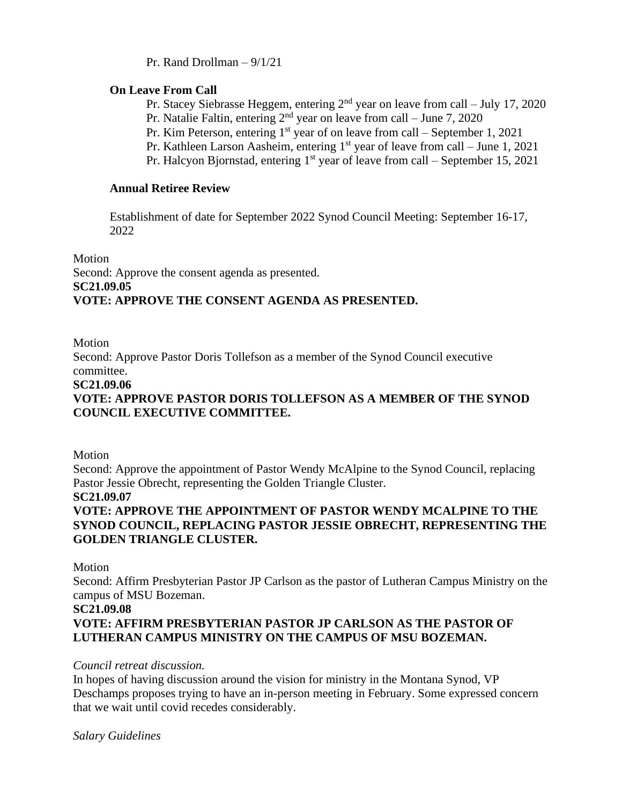Pr. Rand Drollman – 9/1/21

#### **On Leave From Call**

Pr. Stacey Siebrasse Heggem, entering 2nd year on leave from call – July 17, 2020

Pr. Natalie Faltin, entering 2nd year on leave from call – June 7, 2020

Pr. Kim Peterson, entering  $1<sup>st</sup>$  year of on leave from call – September 1, 2021

Pr. Kathleen Larson Aasheim, entering  $1<sup>st</sup>$  year of leave from call – June 1, 2021

Pr. Halcyon Bjornstad, entering  $1<sup>st</sup>$  year of leave from call – September 15, 2021

## **Annual Retiree Review**

Establishment of date for September 2022 Synod Council Meeting: September 16-17, 2022

Motion Second: Approve the consent agenda as presented. **SC21.09.05 VOTE: APPROVE THE CONSENT AGENDA AS PRESENTED.**

#### Motion

Second: Approve Pastor Doris Tollefson as a member of the Synod Council executive committee.

#### **SC21.09.06**

# **VOTE: APPROVE PASTOR DORIS TOLLEFSON AS A MEMBER OF THE SYNOD COUNCIL EXECUTIVE COMMITTEE.**

Motion

Second: Approve the appointment of Pastor Wendy McAlpine to the Synod Council, replacing Pastor Jessie Obrecht, representing the Golden Triangle Cluster.

#### **SC21.09.07**

# **VOTE: APPROVE THE APPOINTMENT OF PASTOR WENDY MCALPINE TO THE SYNOD COUNCIL, REPLACING PASTOR JESSIE OBRECHT, REPRESENTING THE GOLDEN TRIANGLE CLUSTER.**

Motion

Second: Affirm Presbyterian Pastor JP Carlson as the pastor of Lutheran Campus Ministry on the campus of MSU Bozeman.

#### **SC21.09.08**

# **VOTE: AFFIRM PRESBYTERIAN PASTOR JP CARLSON AS THE PASTOR OF LUTHERAN CAMPUS MINISTRY ON THE CAMPUS OF MSU BOZEMAN.**

# *Council retreat discussion.*

In hopes of having discussion around the vision for ministry in the Montana Synod, VP Deschamps proposes trying to have an in-person meeting in February. Some expressed concern that we wait until covid recedes considerably.

*Salary Guidelines*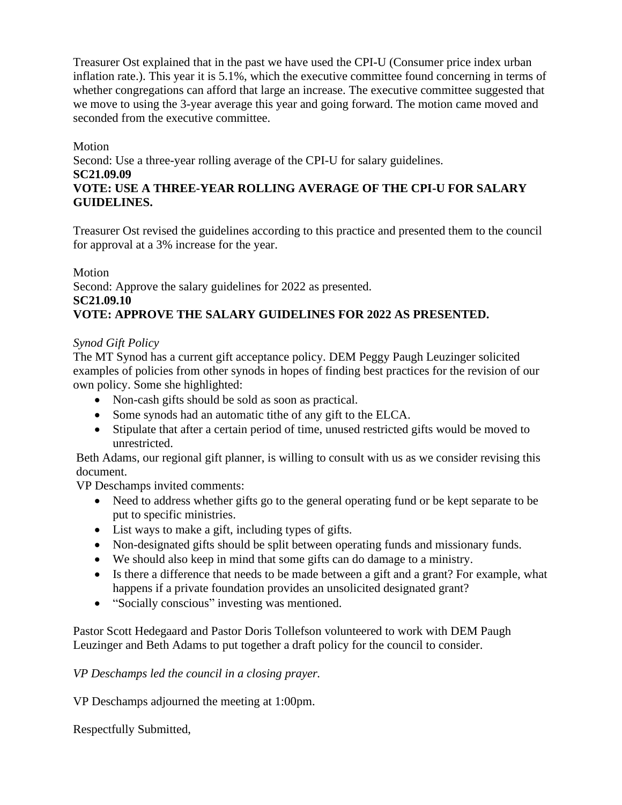Treasurer Ost explained that in the past we have used the CPI-U (Consumer price index urban inflation rate.). This year it is 5.1%, which the executive committee found concerning in terms of whether congregations can afford that large an increase. The executive committee suggested that we move to using the 3-year average this year and going forward. The motion came moved and seconded from the executive committee.

# Motion

Second: Use a three-year rolling average of the CPI-U for salary guidelines.

**SC21.09.09**

# **VOTE: USE A THREE-YEAR ROLLING AVERAGE OF THE CPI-U FOR SALARY GUIDELINES.**

Treasurer Ost revised the guidelines according to this practice and presented them to the council for approval at a 3% increase for the year.

Motion

Second: Approve the salary guidelines for 2022 as presented.

# **SC21.09.10**

# **VOTE: APPROVE THE SALARY GUIDELINES FOR 2022 AS PRESENTED.**

# *Synod Gift Policy*

The MT Synod has a current gift acceptance policy. DEM Peggy Paugh Leuzinger solicited examples of policies from other synods in hopes of finding best practices for the revision of our own policy. Some she highlighted:

- Non-cash gifts should be sold as soon as practical.
- Some synods had an automatic tithe of any gift to the ELCA.
- Stipulate that after a certain period of time, unused restricted gifts would be moved to unrestricted.

Beth Adams, our regional gift planner, is willing to consult with us as we consider revising this document.

VP Deschamps invited comments:

- Need to address whether gifts go to the general operating fund or be kept separate to be put to specific ministries.
- List ways to make a gift, including types of gifts.
- Non-designated gifts should be split between operating funds and missionary funds.
- We should also keep in mind that some gifts can do damage to a ministry.
- Is there a difference that needs to be made between a gift and a grant? For example, what happens if a private foundation provides an unsolicited designated grant?
- "Socially conscious" investing was mentioned.

Pastor Scott Hedegaard and Pastor Doris Tollefson volunteered to work with DEM Paugh Leuzinger and Beth Adams to put together a draft policy for the council to consider.

# *VP Deschamps led the council in a closing prayer.*

VP Deschamps adjourned the meeting at 1:00pm.

Respectfully Submitted,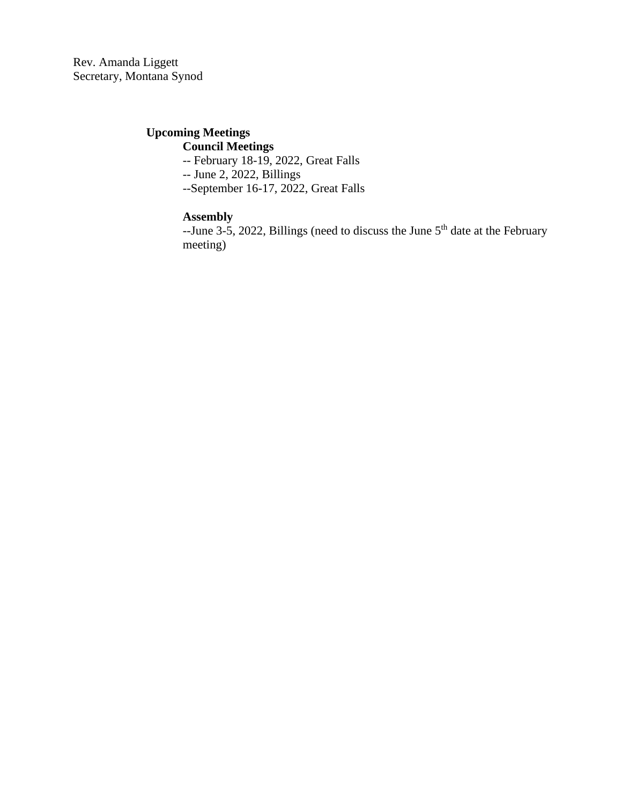Rev. Amanda Liggett Secretary, Montana Synod

# **Upcoming Meetings**

# **Council Meetings**

-- February 18-19, 2022, Great Falls

-- June 2, 2022, Billings

--September 16-17, 2022, Great Falls

# **Assembly**

 $-$ June 3-5, 2022, Billings (need to discuss the June  $5<sup>th</sup>$  date at the February meeting)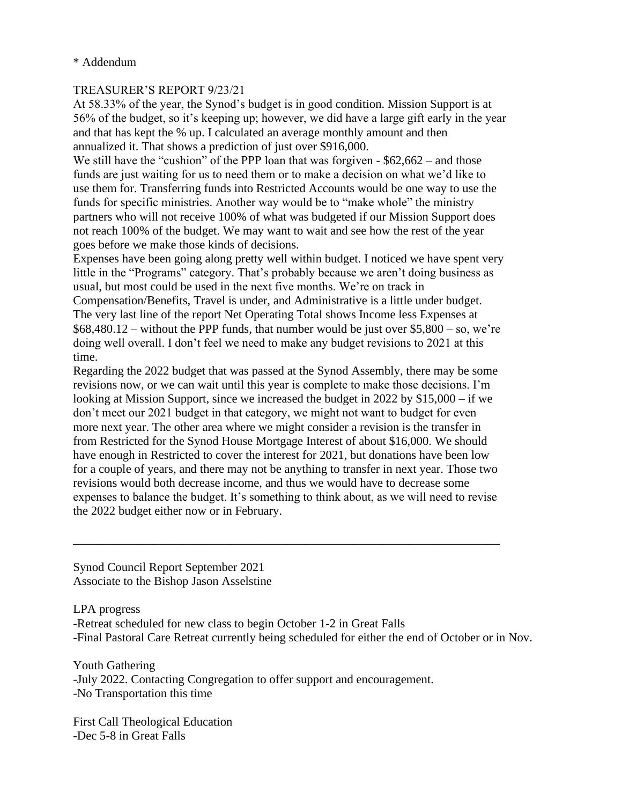#### \* Addendum

#### TREASURER'S REPORT 9/23/21

At 58.33% of the year, the Synod's budget is in good condition. Mission Support is at 56% of the budget, so it's keeping up; however, we did have a large gift early in the year and that has kept the % up. I calculated an average monthly amount and then annualized it. That shows a prediction of just over \$916,000.

We still have the "cushion" of the PPP loan that was forgiven - \$62,662 – and those funds are just waiting for us to need them or to make a decision on what we'd like to use them for. Transferring funds into Restricted Accounts would be one way to use the funds for specific ministries. Another way would be to "make whole" the ministry partners who will not receive 100% of what was budgeted if our Mission Support does not reach 100% of the budget. We may want to wait and see how the rest of the year goes before we make those kinds of decisions.

Expenses have been going along pretty well within budget. I noticed we have spent very little in the "Programs" category. That's probably because we aren't doing business as usual, but most could be used in the next five months. We're on track in

Compensation/Benefits, Travel is under, and Administrative is a little under budget. The very last line of the report Net Operating Total shows Income less Expenses at  $$68,480.12$  – without the PPP funds, that number would be just over  $$5,800$  – so, we're doing well overall. I don't feel we need to make any budget revisions to 2021 at this time.

Regarding the 2022 budget that was passed at the Synod Assembly, there may be some revisions now, or we can wait until this year is complete to make those decisions. I'm looking at Mission Support, since we increased the budget in 2022 by \$15,000 – if we don't meet our 2021 budget in that category, we might not want to budget for even more next year. The other area where we might consider a revision is the transfer in from Restricted for the Synod House Mortgage Interest of about \$16,000. We should have enough in Restricted to cover the interest for 2021, but donations have been low for a couple of years, and there may not be anything to transfer in next year. Those two revisions would both decrease income, and thus we would have to decrease some expenses to balance the budget. It's something to think about, as we will need to revise the 2022 budget either now or in February.

\_\_\_\_\_\_\_\_\_\_\_\_\_\_\_\_\_\_\_\_\_\_\_\_\_\_\_\_\_\_\_\_\_\_\_\_\_\_\_\_\_\_\_\_\_\_\_\_\_\_\_\_\_\_\_\_\_\_\_\_\_\_\_\_\_\_\_\_\_\_

Synod Council Report September 2021 Associate to the Bishop Jason Asselstine

LPA progress -Retreat scheduled for new class to begin October 1-2 in Great Falls -Final Pastoral Care Retreat currently being scheduled for either the end of October or in Nov.

Youth Gathering -July 2022. Contacting Congregation to offer support and encouragement. -No Transportation this time

First Call Theological Education -Dec 5-8 in Great Falls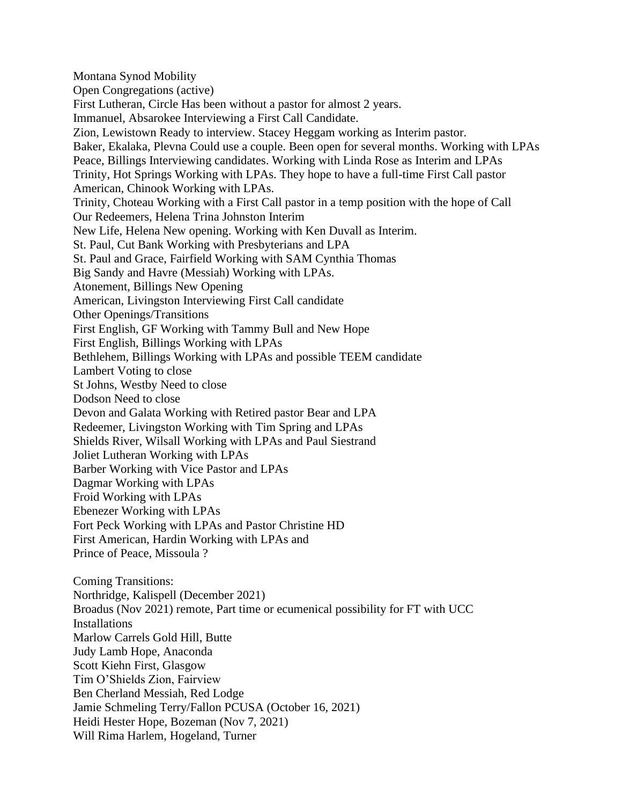Montana Synod Mobility Open Congregations (active) First Lutheran, Circle Has been without a pastor for almost 2 years. Immanuel, Absarokee Interviewing a First Call Candidate. Zion, Lewistown Ready to interview. Stacey Heggam working as Interim pastor. Baker, Ekalaka, Plevna Could use a couple. Been open for several months. Working with LPAs Peace, Billings Interviewing candidates. Working with Linda Rose as Interim and LPAs Trinity, Hot Springs Working with LPAs. They hope to have a full-time First Call pastor American, Chinook Working with LPAs. Trinity, Choteau Working with a First Call pastor in a temp position with the hope of Call Our Redeemers, Helena Trina Johnston Interim New Life, Helena New opening. Working with Ken Duvall as Interim. St. Paul, Cut Bank Working with Presbyterians and LPA St. Paul and Grace, Fairfield Working with SAM Cynthia Thomas Big Sandy and Havre (Messiah) Working with LPAs. Atonement, Billings New Opening American, Livingston Interviewing First Call candidate Other Openings/Transitions First English, GF Working with Tammy Bull and New Hope First English, Billings Working with LPAs Bethlehem, Billings Working with LPAs and possible TEEM candidate Lambert Voting to close St Johns, Westby Need to close Dodson Need to close Devon and Galata Working with Retired pastor Bear and LPA Redeemer, Livingston Working with Tim Spring and LPAs Shields River, Wilsall Working with LPAs and Paul Siestrand Joliet Lutheran Working with LPAs Barber Working with Vice Pastor and LPAs Dagmar Working with LPAs Froid Working with LPAs Ebenezer Working with LPAs Fort Peck Working with LPAs and Pastor Christine HD First American, Hardin Working with LPAs and Prince of Peace, Missoula ? Coming Transitions: Northridge, Kalispell (December 2021) Broadus (Nov 2021) remote, Part time or ecumenical possibility for FT with UCC **Installations** Marlow Carrels Gold Hill, Butte Judy Lamb Hope, Anaconda Scott Kiehn First, Glasgow Tim O'Shields Zion, Fairview Ben Cherland Messiah, Red Lodge Jamie Schmeling Terry/Fallon PCUSA (October 16, 2021) Heidi Hester Hope, Bozeman (Nov 7, 2021) Will Rima Harlem, Hogeland, Turner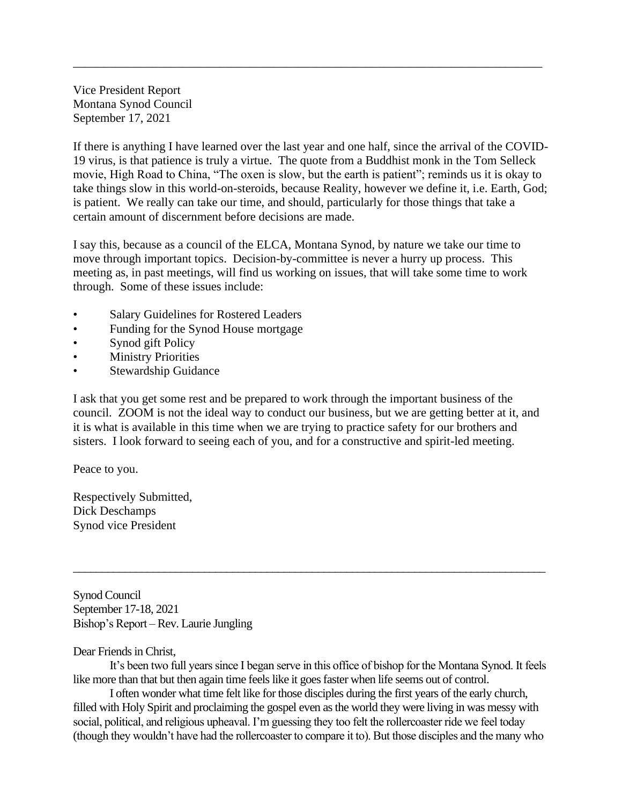Vice President Report Montana Synod Council September 17, 2021

If there is anything I have learned over the last year and one half, since the arrival of the COVID-19 virus, is that patience is truly a virtue. The quote from a Buddhist monk in the Tom Selleck movie, High Road to China, "The oxen is slow, but the earth is patient"; reminds us it is okay to take things slow in this world-on-steroids, because Reality, however we define it, i.e. Earth, God; is patient. We really can take our time, and should, particularly for those things that take a certain amount of discernment before decisions are made.

\_\_\_\_\_\_\_\_\_\_\_\_\_\_\_\_\_\_\_\_\_\_\_\_\_\_\_\_\_\_\_\_\_\_\_\_\_\_\_\_\_\_\_\_\_\_\_\_\_\_\_\_\_\_\_\_\_\_\_\_\_\_\_\_\_\_\_\_\_\_\_\_\_\_\_\_\_

I say this, because as a council of the ELCA, Montana Synod, by nature we take our time to move through important topics. Decision-by-committee is never a hurry up process. This meeting as, in past meetings, will find us working on issues, that will take some time to work through. Some of these issues include:

- Salary Guidelines for Rostered Leaders
- Funding for the Synod House mortgage
- Synod gift Policy
- **Ministry Priorities**
- Stewardship Guidance

I ask that you get some rest and be prepared to work through the important business of the council. ZOOM is not the ideal way to conduct our business, but we are getting better at it, and it is what is available in this time when we are trying to practice safety for our brothers and sisters. I look forward to seeing each of you, and for a constructive and spirit-led meeting.

Peace to you.

Respectively Submitted, Dick Deschamps Synod vice President

Synod Council September 17-18, 2021 Bishop's Report – Rev. Laurie Jungling

#### Dear Friends in Christ,

It's been two full years since I began serve in this office of bishop for the Montana Synod. It feels like more than that but then again time feels like it goes faster when life seems out of control.

\_\_\_\_\_\_\_\_\_\_\_\_\_\_\_\_\_\_\_\_\_\_\_\_\_\_\_\_\_\_\_\_\_\_\_\_\_\_\_\_\_\_\_\_\_\_\_\_\_\_\_\_\_\_\_\_\_\_\_\_\_\_\_\_\_\_\_\_\_\_\_\_\_\_\_\_\_\_\_\_\_\_\_

I often wonder what time felt like for those disciples during the first years of the early church, filled with Holy Spirit and proclaiming the gospel even as the world they were living in was messy with social, political, and religious upheaval. I'm guessing they too felt the rollercoaster ride we feel today (though they wouldn't have had the rollercoaster to compare it to). But those disciples and the many who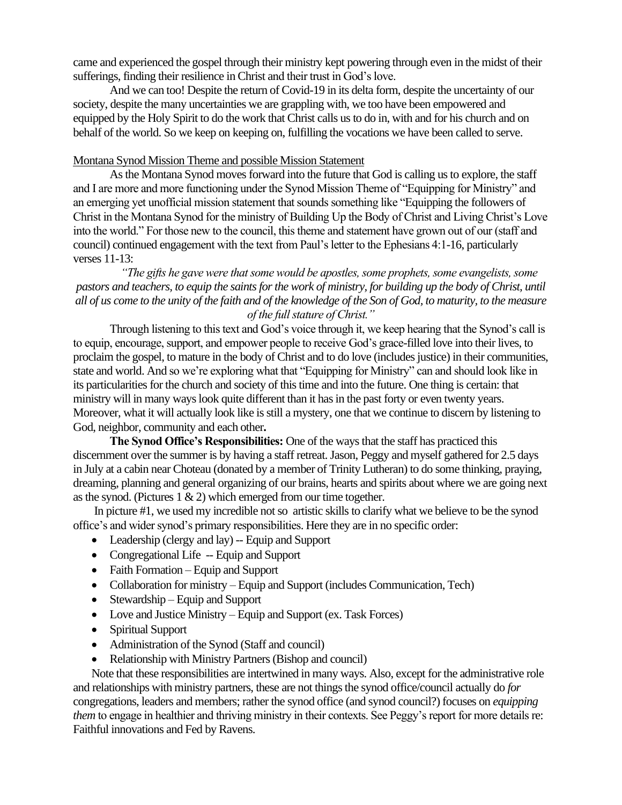came and experienced the gospel through their ministry kept powering through even in the midst of their sufferings, finding their resilience in Christ and their trust in God's love.

And we can too! Despite the return of Covid-19 in its delta form, despite the uncertainty of our society, despite the many uncertainties we are grappling with, we too have been empowered and equipped by the Holy Spirit to do the work that Christ calls us to do in, with and for his church and on behalf of the world. So we keep on keeping on, fulfilling the vocations we have been called to serve.

#### Montana Synod Mission Theme and possible Mission Statement

As the Montana Synod moves forward into the future that God is calling us to explore, the staff and I are more and more functioning under the Synod Mission Theme of "Equipping for Ministry" and an emerging yet unofficial mission statement that sounds something like "Equipping the followers of Christ in the Montana Synod for the ministry of Building Up the Body of Christ and Living Christ's Love into the world." For those new to the council, this theme and statement have grown out of our (staff and council) continued engagement with the text from Paul's letter to the Ephesians 4:1-16, particularly verses 11-13:

*"The gifts he gave were that some would be apostles, some prophets, some evangelists, some pastors and teachers, to equip the saints for the work of ministry, for building up the body of Christ, until all of us come to the unity of the faith and of the knowledge of the Son of God, to maturity, to the measure of the full stature of Christ."*

Through listening to this text and God's voice through it, we keep hearing that the Synod's call is to equip, encourage, support, and empower people to receive God's grace-filled love into their lives, to proclaim the gospel, to mature in the body of Christ and to do love (includes justice) in their communities, state and world. And so we're exploring what that "Equipping for Ministry" can and should look like in its particularities for the church and society of this time and into the future. One thing is certain: that ministry will in many ways look quite different than it has in the past forty or even twenty years. Moreover, what it will actually look like is still a mystery, one that we continue to discern by listening to God, neighbor, community and each other**.** 

**The Synod Office's Responsibilities:** One of the ways that the staff has practiced this discernment over the summer is by having a staff retreat. Jason, Peggy and myself gathered for 2.5 days in July at a cabin near Choteau (donated by a member of Trinity Lutheran) to do some thinking, praying, dreaming, planning and general organizing of our brains, hearts and spirits about where we are going next as the synod. (Pictures  $1 \& 2$ ) which emerged from our time together.

In picture #1, we used my incredible not so artistic skills to clarify what we believe to be the synod office's and wider synod's primary responsibilities. Here they are in no specific order:

- Leadership (clergy and lay) -- Equip and Support
- Congregational Life -- Equip and Support
- Faith Formation Equip and Support
- Collaboration for ministry Equip and Support (includes Communication, Tech)
- Stewardship Equip and Support
- Love and Justice Ministry Equip and Support (ex. Task Forces)
- Spiritual Support
- Administration of the Synod (Staff and council)
- Relationship with Ministry Partners (Bishop and council)

Note that these responsibilities are intertwined in many ways. Also, except for the administrative role and relationships with ministry partners, these are not things the synod office/council actually do *for* congregations, leaders and members; rather the synod office (and synod council?) focuses on *equipping them* to engage in healthier and thriving ministry in their contexts. See Peggy's report for more details re: Faithful innovations and Fed by Ravens.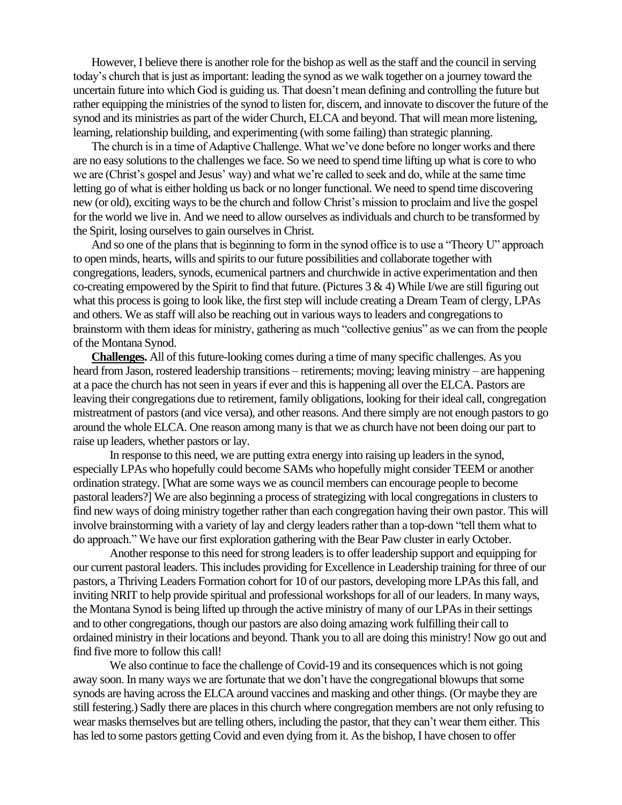However, I believe there is another role for the bishop as well as the staff and the council in serving today's church that is just as important: leading the synod as we walk together on a journey toward the uncertain future into which God is guiding us. That doesn't mean defining and controlling the future but rather equipping the ministries of the synod to listen for, discern, and innovate to discover the future of the synod and its ministries as part of the wider Church, ELCA and beyond. That will mean more listening, learning, relationship building, and experimenting (with some failing) than strategic planning.

The church is in a time of Adaptive Challenge. What we've done before no longer works and there are no easy solutions to the challenges we face. So we need to spend time lifting up what is core to who we are (Christ's gospel and Jesus' way) and what we're called to seek and do, while at the same time letting go of what is either holding us back or no longer functional. We need to spend time discovering new (or old), exciting ways to be the church and follow Christ's mission to proclaim and live the gospel for the world we live in. And we need to allow ourselves as individuals and church to be transformed by the Spirit, losing ourselves to gain ourselves in Christ.

And so one of the plans that is beginning to form in the synod office is to use a "Theory U" approach to open minds, hearts, wills and spirits to our future possibilities and collaborate together with congregations, leaders, synods, ecumenical partners and churchwide in active experimentation and then co-creating empowered by the Spirit to find that future. (Pictures  $3 \& 4$ ) While I/we are still figuring out what this process is going to look like, the first step will include creating a Dream Team of clergy, LPAs and others. We as staff will also be reaching out in various ways to leaders and congregations to brainstorm with them ideas for ministry, gathering as much "collective genius" as we can from the people of the Montana Synod.

**Challenges.** All of this future-looking comes during a time of many specific challenges. As you heard from Jason, rostered leadership transitions – retirements; moving; leaving ministry – are happening at a pace the church has not seen in yearsif ever and this is happening all over the ELCA. Pastors are leaving their congregations due to retirement, family obligations, looking for their ideal call, congregation mistreatment of pastors (and vice versa), and other reasons. And there simply are not enough pastors to go around the whole ELCA. One reason among many is that we as church have not been doing our part to raise up leaders, whether pastors or lay.

In response to this need, we are putting extra energy into raising up leaders in the synod, especially LPAs who hopefully could become SAMs who hopefully might consider TEEM or another ordination strategy. [What are some ways we as council members can encourage people to become pastoral leaders?] We are also beginning a process of strategizing with local congregations in clusters to find new ways of doing ministry together rather than each congregation having their own pastor. This will involve brainstorming with a variety of lay and clergy leaders rather than a top-down "tell them what to do approach." We have our first exploration gathering with the Bear Paw cluster in early October.

Another response to this need for strong leaders is to offer leadership support and equipping for our current pastoral leaders. This includes providing for Excellence in Leadership training for three of our pastors, a Thriving Leaders Formation cohort for 10 of our pastors, developing more LPAs this fall, and inviting NRIT to help provide spiritual and professional workshops for all of our leaders. In many ways, the Montana Synod is being lifted up through the active ministry of many of our LPAs in their settings and to other congregations, though our pastors are also doing amazing work fulfilling their call to ordained ministry in their locations and beyond. Thank you to all are doing this ministry! Now go out and find five more to follow this call!

We also continue to face the challenge of Covid-19 and its consequences which is not going away soon. In many ways we are fortunate that we don't have the congregational blowups that some synods are having across the ELCA around vaccines and masking and other things. (Or maybe they are still festering.) Sadly there are places in this church where congregation members are not only refusing to wear masks themselves but are telling others, including the pastor, that they can't wear them either. This has led to some pastors getting Covid and even dying from it. As the bishop, I have chosen to offer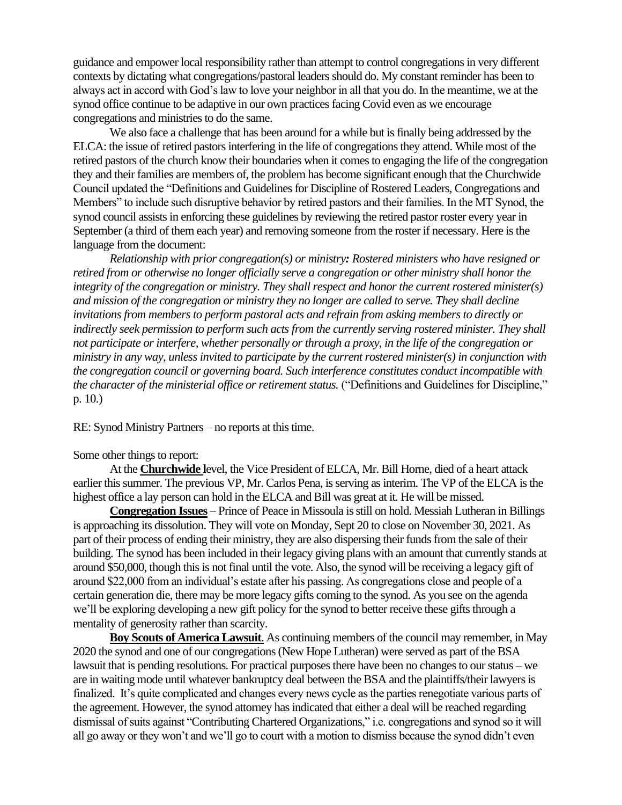guidance and empower local responsibility rather than attempt to control congregations in very different contexts by dictating what congregations/pastoral leaders should do. My constant reminder has been to always act in accord with God's law to love your neighbor in all that you do. In the meantime, we at the synod office continue to be adaptive in our own practices facing Covid even as we encourage congregations and ministries to do the same.

We also face a challenge that has been around for a while but is finally being addressed by the ELCA: the issue of retired pastors interfering in the life of congregations they attend. While most of the retired pastors of the church know their boundaries when it comes to engaging the life of the congregation they and their families are members of, the problem has become significant enough that the Churchwide Council updated the "Definitions and Guidelines for Discipline of Rostered Leaders, Congregations and Members" to include such disruptive behavior by retired pastors and their families. In the MT Synod, the synod council assists in enforcing these guidelines by reviewing the retired pastor roster every year in September (a third of them each year) and removing someone from the roster if necessary. Here is the language from the document:

*Relationship with prior congregation(s) or ministry: Rostered ministers who have resigned or retired from or otherwise no longer officially serve a congregation or other ministry shall honor the integrity of the congregation or ministry. They shall respect and honor the current rostered minister(s) and mission of the congregation or ministry they no longer are called to serve. They shall decline invitations from members to perform pastoral acts and refrain from asking members to directly or indirectly seek permission to perform such acts from the currently serving rostered minister. They shall not participate or interfere, whether personally or through a proxy, in the life of the congregation or ministry in any way, unless invited to participate by the current rostered minister(s) in conjunction with the congregation council or governing board. Such interference constitutes conduct incompatible with the character of the ministerial office or retirement status.* ("Definitions and Guidelines for Discipline," p. 10.)

RE: Synod Ministry Partners – no reports at this time.

#### Some other things to report:

At the **Churchwide l**evel, the Vice President of ELCA, Mr. Bill Horne, died of a heart attack earlier this summer. The previous VP, Mr. Carlos Pena, is serving as interim. The VP of the ELCA is the highest office a lay person can hold in the ELCA and Bill was great at it. He will be missed.

**Congregation Issues** – Prince of Peace in Missoula is still on hold. Messiah Lutheran in Billings is approaching its dissolution. They will vote on Monday, Sept 20 to close on November 30, 2021. As part of their process of ending their ministry, they are also dispersing their funds from the sale of their building. The synod has been included in their legacy giving plans with an amount that currently stands at around \$50,000, though this is not final until the vote. Also, the synod will be receiving a legacy gift of around \$22,000 from an individual's estate after his passing. As congregations close and people of a certain generation die, there may be more legacy gifts coming to the synod. As you see on the agenda we'll be exploring developing a new gift policy for the synod to better receive these gifts through a mentality of generosity rather than scarcity.

**Boy Scouts of America Lawsuit**. As continuing members of the council may remember, in May 2020 the synod and one of our congregations (New Hope Lutheran) were served as part of the BSA lawsuit that is pending resolutions. For practical purposes there have been no changes to our status – we are in waiting mode until whatever bankruptcy deal between the BSA and the plaintiffs/their lawyers is finalized. It's quite complicated and changes every news cycle as the parties renegotiate various parts of the agreement. However, the synod attorney has indicated that either a deal will be reached regarding dismissal of suits against "Contributing Chartered Organizations," i.e. congregations and synod so it will all go away or they won't and we'll go to court with a motion to dismiss because the synod didn't even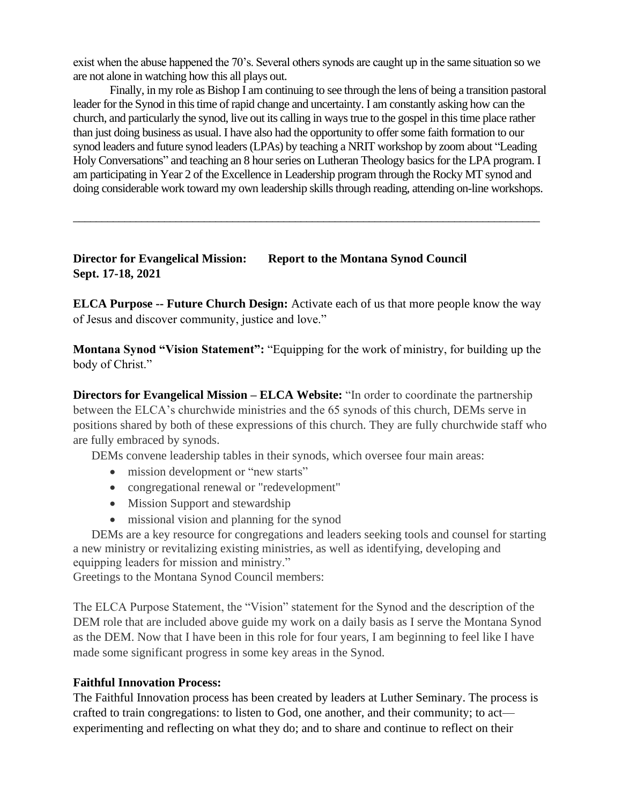exist when the abuse happened the 70's. Several others synods are caught up in the same situation so we are not alone in watching how this all plays out.

Finally, in my role as Bishop I am continuing to see through the lens of being a transition pastoral leader for the Synod in this time of rapid change and uncertainty. I am constantly asking how can the church, and particularly the synod, live out its calling in ways true to the gospel in this time place rather than just doing business as usual. I have also had the opportunity to offer some faith formation to our synod leaders and future synod leaders (LPAs) by teaching a NRIT workshop by zoom about "Leading Holy Conversations" and teaching an 8 hour series on Lutheran Theology basics for the LPA program. I am participating in Year 2 of the Excellence in Leadership program through the Rocky MT synod and doing considerable work toward my own leadership skills through reading, attending on-line workshops.

\_\_\_\_\_\_\_\_\_\_\_\_\_\_\_\_\_\_\_\_\_\_\_\_\_\_\_\_\_\_\_\_\_\_\_\_\_\_\_\_\_\_\_\_\_\_\_\_\_\_\_\_\_\_\_\_\_\_\_\_\_\_\_\_\_\_\_\_\_\_\_\_\_\_\_\_\_\_\_\_\_\_

# **Director for Evangelical Mission: Report to the Montana Synod Council Sept. 17-18, 2021**

**ELCA Purpose -- Future Church Design:** Activate each of us that more people know the way of Jesus and discover community, justice and love."

**Montana Synod "Vision Statement":** "Equipping for the work of ministry, for building up the body of Christ."

**Directors for Evangelical Mission – ELCA Website:** "In order to coordinate the partnership between the ELCA's churchwide ministries and the 65 synods of this church, DEMs serve in positions shared by both of these expressions of this church. They are fully churchwide staff who are fully embraced by synods.

DEMs convene leadership tables in their synods, which oversee four main areas:

- mission development or "new starts"
- congregational renewal or "redevelopment"
- Mission Support and stewardship
- missional vision and planning for the synod

 DEMs are a key resource for congregations and leaders seeking tools and counsel for starting a new ministry or revitalizing existing ministries, as well as identifying, developing and equipping leaders for mission and ministry."

Greetings to the Montana Synod Council members:

The ELCA Purpose Statement, the "Vision" statement for the Synod and the description of the DEM role that are included above guide my work on a daily basis as I serve the Montana Synod as the DEM. Now that I have been in this role for four years, I am beginning to feel like I have made some significant progress in some key areas in the Synod.

#### **Faithful Innovation Process:**

The Faithful Innovation process has been created by leaders at Luther Seminary. The process is crafted to train congregations: to listen to God, one another, and their community; to act experimenting and reflecting on what they do; and to share and continue to reflect on their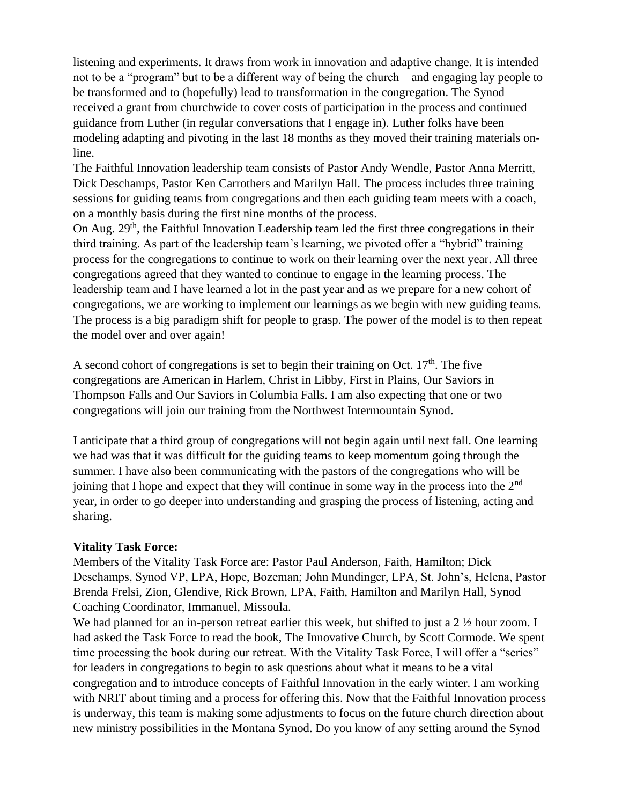listening and experiments. It draws from work in innovation and adaptive change. It is intended not to be a "program" but to be a different way of being the church – and engaging lay people to be transformed and to (hopefully) lead to transformation in the congregation. The Synod received a grant from churchwide to cover costs of participation in the process and continued guidance from Luther (in regular conversations that I engage in). Luther folks have been modeling adapting and pivoting in the last 18 months as they moved their training materials online.

The Faithful Innovation leadership team consists of Pastor Andy Wendle, Pastor Anna Merritt, Dick Deschamps, Pastor Ken Carrothers and Marilyn Hall. The process includes three training sessions for guiding teams from congregations and then each guiding team meets with a coach, on a monthly basis during the first nine months of the process.

On Aug. 29<sup>th</sup>, the Faithful Innovation Leadership team led the first three congregations in their third training. As part of the leadership team's learning, we pivoted offer a "hybrid" training process for the congregations to continue to work on their learning over the next year. All three congregations agreed that they wanted to continue to engage in the learning process. The leadership team and I have learned a lot in the past year and as we prepare for a new cohort of congregations, we are working to implement our learnings as we begin with new guiding teams. The process is a big paradigm shift for people to grasp. The power of the model is to then repeat the model over and over again!

A second cohort of congregations is set to begin their training on Oct.  $17<sup>th</sup>$ . The five congregations are American in Harlem, Christ in Libby, First in Plains, Our Saviors in Thompson Falls and Our Saviors in Columbia Falls. I am also expecting that one or two congregations will join our training from the Northwest Intermountain Synod.

I anticipate that a third group of congregations will not begin again until next fall. One learning we had was that it was difficult for the guiding teams to keep momentum going through the summer. I have also been communicating with the pastors of the congregations who will be joining that I hope and expect that they will continue in some way in the process into the 2<sup>nd</sup> year, in order to go deeper into understanding and grasping the process of listening, acting and sharing.

#### **Vitality Task Force:**

Members of the Vitality Task Force are: Pastor Paul Anderson, Faith, Hamilton; Dick Deschamps, Synod VP, LPA, Hope, Bozeman; John Mundinger, LPA, St. John's, Helena, Pastor Brenda Frelsi, Zion, Glendive, Rick Brown, LPA, Faith, Hamilton and Marilyn Hall, Synod Coaching Coordinator, Immanuel, Missoula.

We had planned for an in-person retreat earlier this week, but shifted to just a 2  $\frac{1}{2}$  hour zoom. I had asked the Task Force to read the book, The Innovative Church, by Scott Cormode. We spent time processing the book during our retreat. With the Vitality Task Force, I will offer a "series" for leaders in congregations to begin to ask questions about what it means to be a vital congregation and to introduce concepts of Faithful Innovation in the early winter. I am working with NRIT about timing and a process for offering this. Now that the Faithful Innovation process is underway, this team is making some adjustments to focus on the future church direction about new ministry possibilities in the Montana Synod. Do you know of any setting around the Synod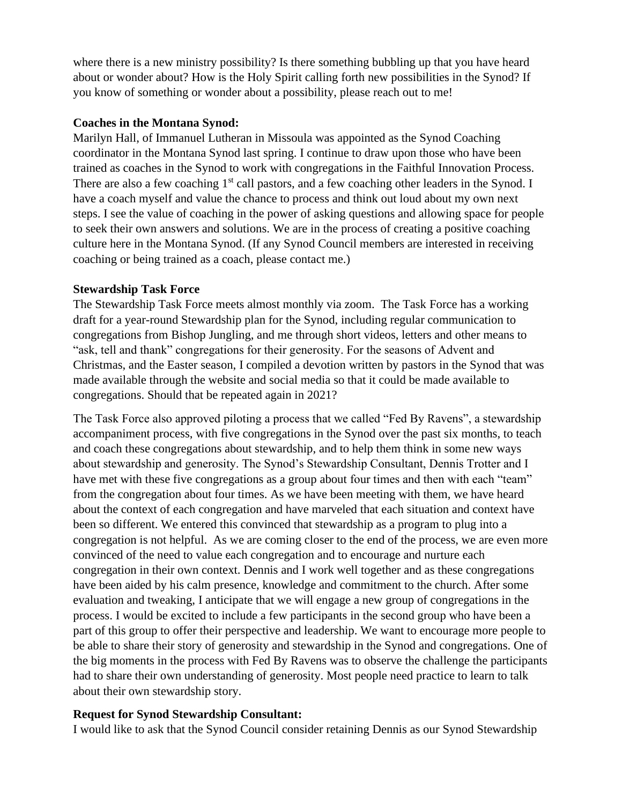where there is a new ministry possibility? Is there something bubbling up that you have heard about or wonder about? How is the Holy Spirit calling forth new possibilities in the Synod? If you know of something or wonder about a possibility, please reach out to me!

#### **Coaches in the Montana Synod:**

Marilyn Hall, of Immanuel Lutheran in Missoula was appointed as the Synod Coaching coordinator in the Montana Synod last spring. I continue to draw upon those who have been trained as coaches in the Synod to work with congregations in the Faithful Innovation Process. There are also a few coaching 1<sup>st</sup> call pastors, and a few coaching other leaders in the Synod. I have a coach myself and value the chance to process and think out loud about my own next steps. I see the value of coaching in the power of asking questions and allowing space for people to seek their own answers and solutions. We are in the process of creating a positive coaching culture here in the Montana Synod. (If any Synod Council members are interested in receiving coaching or being trained as a coach, please contact me.)

#### **Stewardship Task Force**

The Stewardship Task Force meets almost monthly via zoom. The Task Force has a working draft for a year-round Stewardship plan for the Synod, including regular communication to congregations from Bishop Jungling, and me through short videos, letters and other means to "ask, tell and thank" congregations for their generosity. For the seasons of Advent and Christmas, and the Easter season, I compiled a devotion written by pastors in the Synod that was made available through the website and social media so that it could be made available to congregations. Should that be repeated again in 2021?

The Task Force also approved piloting a process that we called "Fed By Ravens", a stewardship accompaniment process, with five congregations in the Synod over the past six months, to teach and coach these congregations about stewardship, and to help them think in some new ways about stewardship and generosity. The Synod's Stewardship Consultant, Dennis Trotter and I have met with these five congregations as a group about four times and then with each "team" from the congregation about four times. As we have been meeting with them, we have heard about the context of each congregation and have marveled that each situation and context have been so different. We entered this convinced that stewardship as a program to plug into a congregation is not helpful. As we are coming closer to the end of the process, we are even more convinced of the need to value each congregation and to encourage and nurture each congregation in their own context. Dennis and I work well together and as these congregations have been aided by his calm presence, knowledge and commitment to the church. After some evaluation and tweaking, I anticipate that we will engage a new group of congregations in the process. I would be excited to include a few participants in the second group who have been a part of this group to offer their perspective and leadership. We want to encourage more people to be able to share their story of generosity and stewardship in the Synod and congregations. One of the big moments in the process with Fed By Ravens was to observe the challenge the participants had to share their own understanding of generosity. Most people need practice to learn to talk about their own stewardship story.

# **Request for Synod Stewardship Consultant:**

I would like to ask that the Synod Council consider retaining Dennis as our Synod Stewardship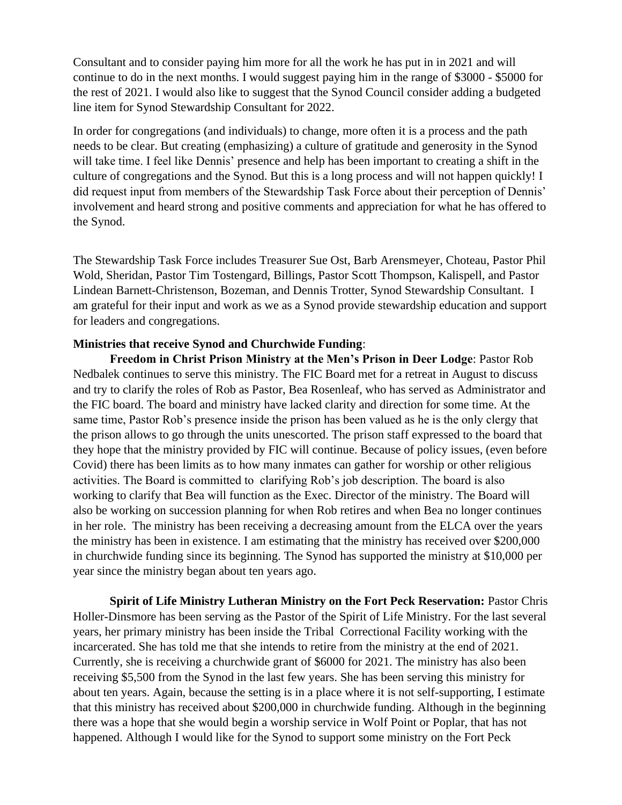Consultant and to consider paying him more for all the work he has put in in 2021 and will continue to do in the next months. I would suggest paying him in the range of \$3000 - \$5000 for the rest of 2021. I would also like to suggest that the Synod Council consider adding a budgeted line item for Synod Stewardship Consultant for 2022.

In order for congregations (and individuals) to change, more often it is a process and the path needs to be clear. But creating (emphasizing) a culture of gratitude and generosity in the Synod will take time. I feel like Dennis' presence and help has been important to creating a shift in the culture of congregations and the Synod. But this is a long process and will not happen quickly! I did request input from members of the Stewardship Task Force about their perception of Dennis' involvement and heard strong and positive comments and appreciation for what he has offered to the Synod.

The Stewardship Task Force includes Treasurer Sue Ost, Barb Arensmeyer, Choteau, Pastor Phil Wold, Sheridan, Pastor Tim Tostengard, Billings, Pastor Scott Thompson, Kalispell, and Pastor Lindean Barnett-Christenson, Bozeman, and Dennis Trotter, Synod Stewardship Consultant. I am grateful for their input and work as we as a Synod provide stewardship education and support for leaders and congregations.

#### **Ministries that receive Synod and Churchwide Funding**:

**Freedom in Christ Prison Ministry at the Men's Prison in Deer Lodge**: Pastor Rob Nedbalek continues to serve this ministry. The FIC Board met for a retreat in August to discuss and try to clarify the roles of Rob as Pastor, Bea Rosenleaf, who has served as Administrator and the FIC board. The board and ministry have lacked clarity and direction for some time. At the same time, Pastor Rob's presence inside the prison has been valued as he is the only clergy that the prison allows to go through the units unescorted. The prison staff expressed to the board that they hope that the ministry provided by FIC will continue. Because of policy issues, (even before Covid) there has been limits as to how many inmates can gather for worship or other religious activities. The Board is committed to clarifying Rob's job description. The board is also working to clarify that Bea will function as the Exec. Director of the ministry. The Board will also be working on succession planning for when Rob retires and when Bea no longer continues in her role. The ministry has been receiving a decreasing amount from the ELCA over the years the ministry has been in existence. I am estimating that the ministry has received over \$200,000 in churchwide funding since its beginning. The Synod has supported the ministry at \$10,000 per year since the ministry began about ten years ago.

**Spirit of Life Ministry Lutheran Ministry on the Fort Peck Reservation:** Pastor Chris Holler-Dinsmore has been serving as the Pastor of the Spirit of Life Ministry. For the last several years, her primary ministry has been inside the Tribal Correctional Facility working with the incarcerated. She has told me that she intends to retire from the ministry at the end of 2021. Currently, she is receiving a churchwide grant of \$6000 for 2021. The ministry has also been receiving \$5,500 from the Synod in the last few years. She has been serving this ministry for about ten years. Again, because the setting is in a place where it is not self-supporting, I estimate that this ministry has received about \$200,000 in churchwide funding. Although in the beginning there was a hope that she would begin a worship service in Wolf Point or Poplar, that has not happened. Although I would like for the Synod to support some ministry on the Fort Peck